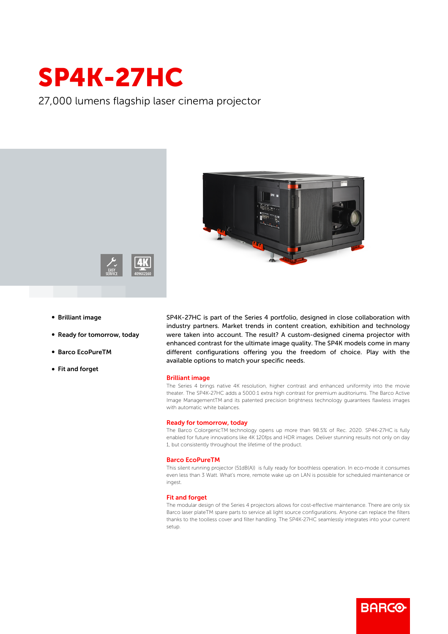# SP4K-27HC

27,000 lumens flagship laser cinema projector



- **Brilliant image**
- Ready for tomorrow, today
- b Barco EcoPureTM
- Fit and forget

SP4K-27HC is part of the Series 4 portfolio, designed in close collaboration with industry partners. Market trends in content creation, exhibition and technology were taken into account. The result? A custom-designed cinema projector with enhanced contrast for the ultimate image quality. The SP4K models come in many different configurations offering you the freedom of choice. Play with the available options to match your specific needs.

#### Brilliant image

The Series 4 brings native 4K resolution, higher contrast and enhanced uniformity into the movie theater. The SP4K-27HC adds a 5000:1 extra high contrast for premium auditoriums. The Barco Active Image ManagementTM and its patented precision brightness technology guarantees flawless images with automatic white balances.

#### Ready for tomorrow, today

The Barco ColorgenicTM technology opens up more than 98.5% of Rec. 2020. SP4K-27HC is fully enabled for future innovations like 4K 120fps and HDR images. Deliver stunning results not only on day 1, but consistently throughout the lifetime of the product.

#### Barco EcoPureTM

This silent running projector (51dB(A)) is fully ready for boothless operation. In eco-mode it consumes even less than 3 Watt. What's more, remote wake up on LAN is possible for scheduled maintenance or ingest.

### Fit and forget

The modular design of the Series 4 projectors allows for cost-effective maintenance. There are only six Barco laser plateTM spare parts to service all light source configurations. Anyone can replace the filters thanks to the toolless cover and filter handling. The SP4K-27HC seamlessly integrates into your current setup.

**BARGO**